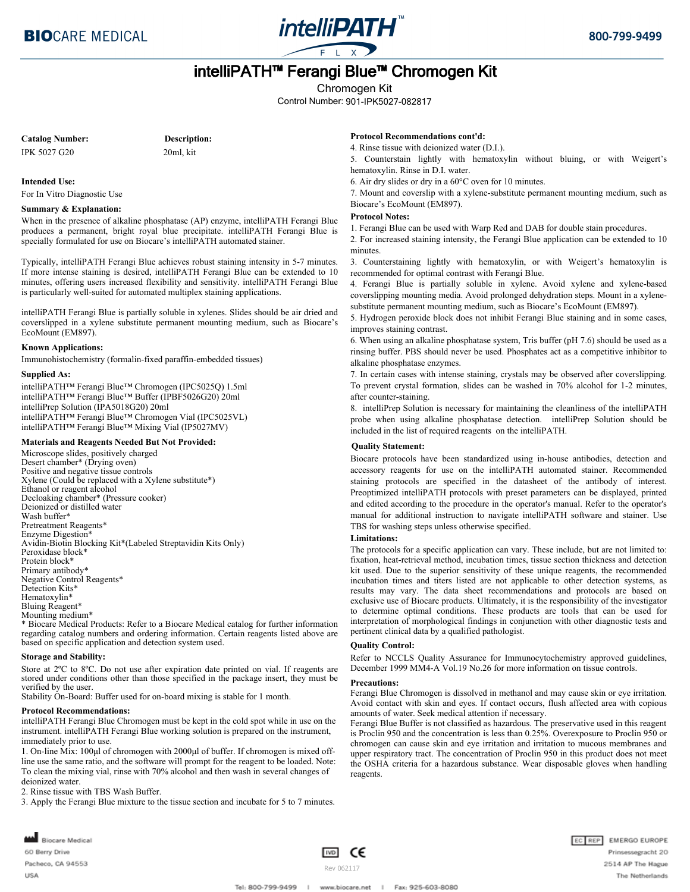

# intelliPATH™ Ferangi Blue™ Chromogen Kit

Chromogen Kit

Control Number: 901-IPK5027-082817

**Catalog Number:**

**Description:** 20ml, kit

IPK 5027 G20

**Intended Use:** For In Vitro Diagnostic Use

### **Summary & Explanation:**

When in the presence of alkaline phosphatase (AP) enzyme, intelliPATH Ferangi Blue produces a permanent, bright royal blue precipitate. intelliPATH Ferangi Blue is specially formulated for use on Biocare's intelliPATH automated stainer.

Typically, intelliPATH Ferangi Blue achieves robust staining intensity in 5-7 minutes. If more intense staining is desired, intelliPATH Ferangi Blue can be extended to 10 minutes, offering users increased flexibility and sensitivity. intelliPATH Ferangi Blue is particularly well-suited for automated multiplex staining applications.

intelliPATH Ferangi Blue is partially soluble in xylenes. Slides should be air dried and coverslipped in a xylene substitute permanent mounting medium, such as Biocare's EcoMount (EM897).

### **Known Applications:**

Immunohistochemistry (formalin-fixed paraffin-embedded tissues)

#### **Supplied As:**

intelliPATH™ Ferangi Blue™ Chromogen (IPC5025Q) 1.5ml intelliPATH™ Ferangi Blue™ Buffer (IPBF5026G20) 20ml intelliPrep Solution (IPA5018G20) 20ml intelliPATH™ Ferangi Blue™ Chromogen Vial (IPC5025VL) intelliPATH™ Ferangi Blue™ Mixing Vial (IP5027MV)

#### **Materials and Reagents Needed But Not Provided:**

Microscope slides, positively charged Desert chamber\* (Drying oven) Positive and negative tissue controls Xylene (Could be replaced with a Xylene substitute\*) Ethanol or reagent alcohol Decloaking chamber\* (Pressure cooker) Deionized or distilled water Wash buffer\* Pretreatment Reagents\* Enzyme Digestion\* Avidin-Biotin Blocking Kit\*(Labeled Streptavidin Kits Only) Peroxidase block\* Protein block\* Primary antibody\* Negative Control Reagents\* Detection Kits\* Hematoxylin\* Bluing Reagent\* Mounting medium\*

\* Biocare Medical Products: Refer to a Biocare Medical catalog for further information regarding catalog numbers and ordering information. Certain reagents listed above are based on specific application and detection system used.

#### **Storage and Stability:**

Store at 2ºC to 8ºC. Do not use after expiration date printed on vial. If reagents are stored under conditions other than those specified in the package insert, they must be verified by the user.

Stability On-Board: Buffer used for on-board mixing is stable for 1 month.

#### **Protocol Recommendations:**

intelliPATH Ferangi Blue Chromogen must be kept in the cold spot while in use on the instrument. intelliPATH Ferangi Blue working solution is prepared on the instrument, immediately prior to use.

1. On-line Mix: 100μl of chromogen with 2000μl of buffer. If chromogen is mixed offline use the same ratio, and the software will prompt for the reagent to be loaded. Note: To clean the mixing vial, rinse with 70% alcohol and then wash in several changes of deionized water.

2. Rinse tissue with TBS Wash Buffer.

3. Apply the Ferangi Blue mixture to the tissue section and incubate for 5 to 7 minutes.

**Protocol Recommendations cont'd:**

4. Rinse tissue with deionized water (D.I.).

5. Counterstain lightly with hematoxylin without bluing, or with Weigert's hematoxylin. Rinse in D.I. water.

6. Air dry slides or dry in a 60°C oven for 10 minutes.

7. Mount and coverslip with a xylene-substitute permanent mounting medium, such as Biocare's EcoMount (EM897).

### **Protocol Notes:**

1. Ferangi Blue can be used with Warp Red and DAB for double stain procedures.

2. For increased staining intensity, the Ferangi Blue application can be extended to 10 minutes.

3. Counterstaining lightly with hematoxylin, or with Weigert's hematoxylin is recommended for optimal contrast with Ferangi Blue.

4. Ferangi Blue is partially soluble in xylene. Avoid xylene and xylene-based coverslipping mounting media. Avoid prolonged dehydration steps. Mount in a xylenesubstitute permanent mounting medium, such as Biocare's EcoMount (EM897).

5. Hydrogen peroxide block does not inhibit Ferangi Blue staining and in some cases, improves staining contrast.

6. When using an alkaline phosphatase system, Tris buffer (pH 7.6) should be used as a rinsing buffer. PBS should never be used. Phosphates act as a competitive inhibitor to alkaline phosphatase enzymes.

7. In certain cases with intense staining, crystals may be observed after coverslipping. To prevent crystal formation, slides can be washed in 70% alcohol for 1-2 minutes, after counter-staining.

8. intelliPrep Solution is necessary for maintaining the cleanliness of the intelliPATH probe when using alkaline phosphatase detection. intelliPrep Solution should be included in the list of required reagents on the intelliPATH.

#### **Quality Statement:**

Biocare protocols have been standardized using in-house antibodies, detection and accessory reagents for use on the intelliPATH automated stainer. Recommended staining protocols are specified in the datasheet of the antibody of interest. Preoptimized intelliPATH protocols with preset parameters can be displayed, printed and edited according to the procedure in the operator's manual. Refer to the operator's manual for additional instruction to navigate intelliPATH software and stainer. Use TBS for washing steps unless otherwise specified.

## **Limitations:**

The protocols for a specific application can vary. These include, but are not limited to: fixation, heat-retrieval method, incubation times, tissue section thickness and detection kit used. Due to the superior sensitivity of these unique reagents, the recommended incubation times and titers listed are not applicable to other detection systems, as results may vary. The data sheet recommendations and protocols are based on exclusive use of Biocare products. Ultimately, it is the responsibility of the investigator to determine optimal conditions. These products are tools that can be used for interpretation of morphological findings in conjunction with other diagnostic tests and pertinent clinical data by a qualified pathologist.

### **Quality Control:**

Refer to NCCLS Quality Assurance for Immunocytochemistry approved guidelines, December 1999 MM4-A Vol.19 No.26 for more information on tissue controls.

#### **Precautions:**

Ferangi Blue Chromogen is dissolved in methanol and may cause skin or eye irritation. Avoid contact with skin and eyes. If contact occurs, flush affected area with copious amounts of water. Seek medical attention if necessary.

Ferangi Blue Buffer is not classified as hazardous. The preservative used in this reagent is Proclin 950 and the concentration is less than 0.25%. Overexposure to Proclin 950 or chromogen can cause skin and eye irritation and irritation to mucous membranes and upper respiratory tract. The concentration of Proclin 950 in this product does not meet the OSHA criteria for a hazardous substance. Wear disposable gloves when handling reagents.



Rev 062117

™ С€